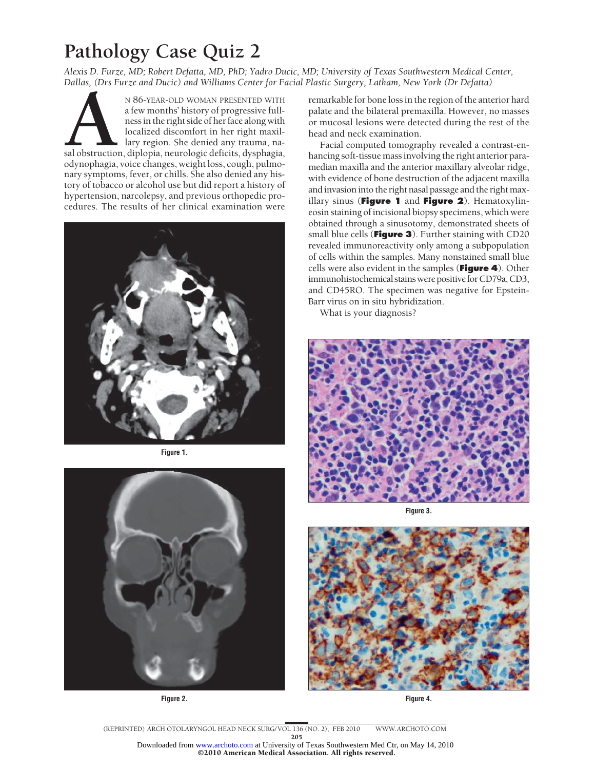# **Pathology Case Quiz 2**

*Alexis D. Furze, MD; Robert Defatta, MD, PhD; Yadro Ducic, MD; University of Texas Southwestern Medical Center, Dallas, (Drs Furze and Ducic) and Williams Center for Facial Plastic Surgery, Latham, New York (Dr Defatta)*

N 86-YEAR-OLD WOMAN PRESENTED WITH<br>
a few months' history of progressive full-<br>
ness in the right side of her face along with<br>
localized discomfort in her right maxil-<br>
lary region. She denied any trauma, na-<br>
sal obstruct a few months' history of progressive fullness in the right side of her face along with localized discomfort in her right maxillary region. She denied any trauma, nasal obstruction, diplopia, neurologic deficits, dysphagia, odynophagia, voice changes, weight loss, cough, pulmonary symptoms, fever, or chills. She also denied any history of tobacco or alcohol use but did report a history of hypertension, narcolepsy, and previous orthopedic procedures. The results of her clinical examination were



**Figure 1.**



**Figure 2.**

remarkable for bone loss in the region of the anterior hard palate and the bilateral premaxilla. However, no masses or mucosal lesions were detected during the rest of the head and neck examination.

Facial computed tomography revealed a contrast-enhancing soft-tissue mass involving the right anterior paramedian maxilla and the anterior maxillary alveolar ridge, with evidence of bone destruction of the adjacent maxilla and invasion into the right nasal passage and the right maxillary sinus (**Figure 1** and **Figure 2**). Hematoxylineosin staining of incisional biopsy specimens, which were obtained through a sinusotomy, demonstrated sheets of small blue cells (**Figure 3**). Further staining with CD20 revealed immunoreactivity only among a subpopulation of cells within the samples. Many nonstained small blue cells were also evident in the samples (**Figure 4**). Other immunohistochemical stains were positive for CD79a, CD3, and CD45RO. The specimen was negative for Epstein-Barr virus on in situ hybridization.

What is your diagnosis?



**Figure 3.**



**Figure 4.**

(REPRINTED) ARCH OTOLARYNGOL HEAD NECK SURG/ VOL 136 (NO. 2), FEB 2010 WWW.ARCHOTO.COM 205 ©2010 American Medical Association. All rights reserved. Downloaded from [www.archoto.com](http://www.archoto.com) at University of Texas Southwestern Med Ctr, on May 14, 2010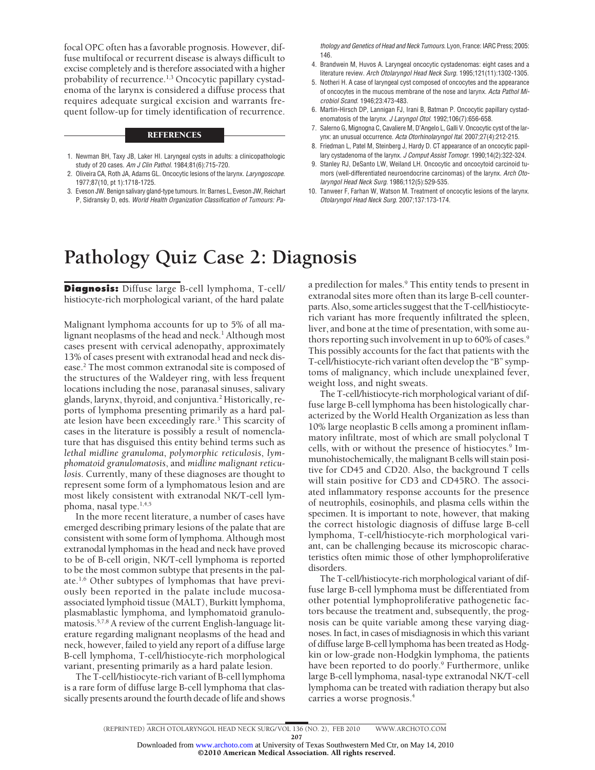focal OPC often has a favorable prognosis. However, diffuse multifocal or recurrent disease is always difficult to excise completely and is therefore associated with a higher probability of recurrence.<sup>1,3</sup> Oncocytic papillary cystadenoma of the larynx is considered a diffuse process that requires adequate surgical excision and warrants frequent follow-up for timely identification of recurrence.

### **REFERENCES**

- 1. Newman BH, Taxy JB, Laker HI. Laryngeal cysts in adults: a clinicopathologic study of 20 cases. *Am J Clin Pathol*. 1984;81(6):715-720.
- 2. Oliveira CA, Roth JA, Adams GL. Oncocytic lesions of the larynx. *Laryngoscope*. 1977;87(10, pt 1):1718-1725.
- 3. Eveson JW. Benign salivary gland-type tumours. In: Barnes L, Eveson JW, Reichart P, Sidransky D, eds. *World Health Organization Classification of Tumours: Pa-*

*thology and Genetics of Head and Neck Tumours.* Lyon, France: IARC Press; 2005: 146.

- 4. Brandwein M, Huvos A. Laryngeal oncocytic cystadenomas: eight cases and a literature review. *Arch Otolaryngol Head Neck Surg*. 1995;121(11):1302-1305.
- 5. Notheri H. A case of laryngeal cyst composed of oncocytes and the appearance of oncocytes in the mucous membrane of the nose and larynx. *Acta Pathol Microbiol Scand*. 1946;23:473-483.
- 6. Martin-Hirsch DP, Lannigan FJ, Irani B, Batman P. Oncocytic papillary cystadenomatosis of the larynx. *J Laryngol Otol*. 1992;106(7):656-658.
- 7. Salerno G, Mignogna C, Cavaliere M, D'Angelo L, Galli V. Oncocytic cyst of the larynx: an unusual occurrence. *Acta Otorhinolaryngol Ital*. 2007;27(4):212-215.
- 8. Friedman L, Patel M, Steinberg J, Hardy D. CT appearance of an oncocytic papillary cystadenoma of the larynx. *J Comput Assist Tomogr*. 1990;14(2):322-324.
- 9. Stanley RJ, DeSanto LW, Weiland LH. Oncocytic and oncocytoid carcinoid tumors (well-differentiated neuroendocrine carcinomas) of the larynx. *Arch Otolaryngol Head Neck Surg*. 1986;112(5):529-535.
- 10. Tanweer F, Farhan W, Watson M. Treatment of oncocytic lesions of the larynx. *Otolaryngol Head Neck Surg*. 2007;137:173-174.

## **Pathology Quiz Case 2: Diagnosis**

**Diagnosis:** Diffuse large B-cell lymphoma, T-cell/ histiocyte-rich morphological variant, of the hard palate

Malignant lymphoma accounts for up to 5% of all malignant neoplasms of the head and neck.<sup>1</sup> Although most cases present with cervical adenopathy, approximately 13% of cases present with extranodal head and neck disease.2 The most common extranodal site is composed of the structures of the Waldeyer ring, with less frequent locations including the nose, paranasal sinuses, salivary glands, larynx, thyroid, and conjuntiva.2 Historically, reports of lymphoma presenting primarily as a hard palate lesion have been exceedingly rare.3 This scarcity of cases in the literature is possibly a result of nomenclature that has disguised this entity behind terms such as *lethal midline granuloma*, *polymorphic reticulosis*, *lymphomatoid granulomatosis*, and *midline malignant reticulosis*. Currently, many of these diagnoses are thought to represent some form of a lymphomatous lesion and are most likely consistent with extranodal NK/T-cell lymphoma, nasal type.1,4,5

In the more recent literature, a number of cases have emerged describing primary lesions of the palate that are consistent with some form of lymphoma. Although most extranodal lymphomas in the head and neck have proved to be of B-cell origin, NK/T-cell lymphoma is reported to be the most common subtype that presents in the palate.1,6 Other subtypes of lymphomas that have previously been reported in the palate include mucosaassociated lymphoid tissue (MALT), Burkitt lymphoma, plasmablastic lymphoma, and lymphomatoid granulomatosis.5,7,8 A review of the current English-language literature regarding malignant neoplasms of the head and neck, however, failed to yield any report of a diffuse large B-cell lymphoma, T-cell/histiocyte-rich morphological variant, presenting primarily as a hard palate lesion.

The T-cell/histiocyte-rich variant of B-cell lymphoma is a rare form of diffuse large B-cell lymphoma that classically presents around the fourth decade of life and shows a predilection for males.<sup>9</sup> This entity tends to present in extranodal sites more often than its large B-cell counterparts. Also, some articles suggest that the T-cell/histiocyterich variant has more frequently infiltrated the spleen, liver, and bone at the time of presentation, with some authors reporting such involvement in up to 60% of cases.<sup>9</sup> This possibly accounts for the fact that patients with the T-cell/histiocyte-rich variant often develop the "B" symptoms of malignancy, which include unexplained fever, weight loss, and night sweats.

The T-cell/histiocyte-rich morphological variant of diffuse large B-cell lymphoma has been histologically characterized by the World Health Organization as less than 10% large neoplastic B cells among a prominent inflammatory infiltrate, most of which are small polyclonal T cells, with or without the presence of histiocytes.<sup>9</sup> Immunohistochemically, the malignant B cells will stain positive for CD45 and CD20. Also, the background T cells will stain positive for CD3 and CD45RO. The associated inflammatory response accounts for the presence of neutrophils, eosinophils, and plasma cells within the specimen. It is important to note, however, that making the correct histologic diagnosis of diffuse large B-cell lymphoma, T-cell/histiocyte-rich morphological variant, can be challenging because its microscopic characteristics often mimic those of other lymphoproliferative disorders.

The T-cell/histiocyte-rich morphological variant of diffuse large B-cell lymphoma must be differentiated from other potential lymphoproliferative pathogenetic factors because the treatment and, subsequently, the prognosis can be quite variable among these varying diagnoses. In fact, in cases of misdiagnosis in which this variant of diffuse large B-cell lymphoma has been treated as Hodgkin or low-grade non-Hodgkin lymphoma, the patients have been reported to do poorly.<sup>9</sup> Furthermore, unlike large B-cell lymphoma, nasal-type extranodal NK/T-cell lymphoma can be treated with radiation therapy but also carries a worse prognosis.<sup>4</sup>

(REPRINTED) ARCH OTOLARYNGOL HEAD NECK SURG/ VOL 136 (NO. 2), FEB 2010 WWW.ARCHOTO.COM

207